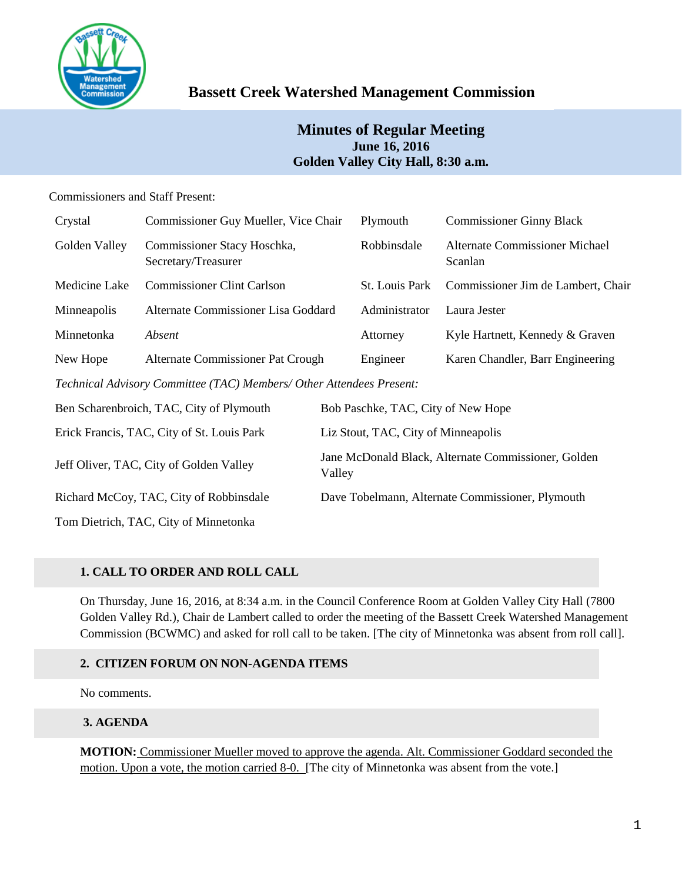

# **Bassett Creek Watershed Management Commission**

## **Minutes of Regular Meeting June 16, 2016 Golden Valley City Hall, 8:30 a.m.**

## Commissioners and Staff Present:

| Crystal                                                              | Commissioner Guy Mueller, Vice Chair               |                                                               | Plymouth       | <b>Commissioner Ginny Black</b>                  |  |
|----------------------------------------------------------------------|----------------------------------------------------|---------------------------------------------------------------|----------------|--------------------------------------------------|--|
| Golden Valley                                                        | Commissioner Stacy Hoschka,<br>Secretary/Treasurer |                                                               | Robbinsdale    | <b>Alternate Commissioner Michael</b><br>Scanlan |  |
| Medicine Lake                                                        | <b>Commissioner Clint Carlson</b>                  |                                                               | St. Louis Park | Commissioner Jim de Lambert, Chair               |  |
| Minneapolis                                                          | Alternate Commissioner Lisa Goddard                |                                                               | Administrator  | Laura Jester                                     |  |
| Minnetonka                                                           | Absent                                             |                                                               | Attorney       | Kyle Hartnett, Kennedy & Graven                  |  |
| New Hope                                                             | Alternate Commissioner Pat Crough                  |                                                               | Engineer       | Karen Chandler, Barr Engineering                 |  |
| Technical Advisory Committee (TAC) Members/ Other Attendees Present: |                                                    |                                                               |                |                                                  |  |
| Ben Scharenbroich, TAC, City of Plymouth                             |                                                    | Bob Paschke, TAC, City of New Hope                            |                |                                                  |  |
| Erick Francis, TAC, City of St. Louis Park                           |                                                    | Liz Stout, TAC, City of Minneapolis                           |                |                                                  |  |
| Jeff Oliver, TAC, City of Golden Valley                              |                                                    | Jane McDonald Black, Alternate Commissioner, Golden<br>Valley |                |                                                  |  |

Richard McCoy, TAC, City of Robbinsdale Dave Tobelmann, Alternate Commissioner, Plymouth

Tom Dietrich, TAC, City of Minnetonka

## **1. CALL TO ORDER AND ROLL CALL**

On Thursday, June 16, 2016, at 8:34 a.m. in the Council Conference Room at Golden Valley City Hall (7800 Golden Valley Rd.), Chair de Lambert called to order the meeting of the Bassett Creek Watershed Management Commission (BCWMC) and asked for roll call to be taken. [The city of Minnetonka was absent from roll call].

## **2. CITIZEN FORUM ON NON-AGENDA ITEMS**

No comments.

## **3. AGENDA**

**MOTION:** Commissioner Mueller moved to approve the agenda. Alt. Commissioner Goddard seconded the motion. Upon a vote, the motion carried 8-0. [The city of Minnetonka was absent from the vote.]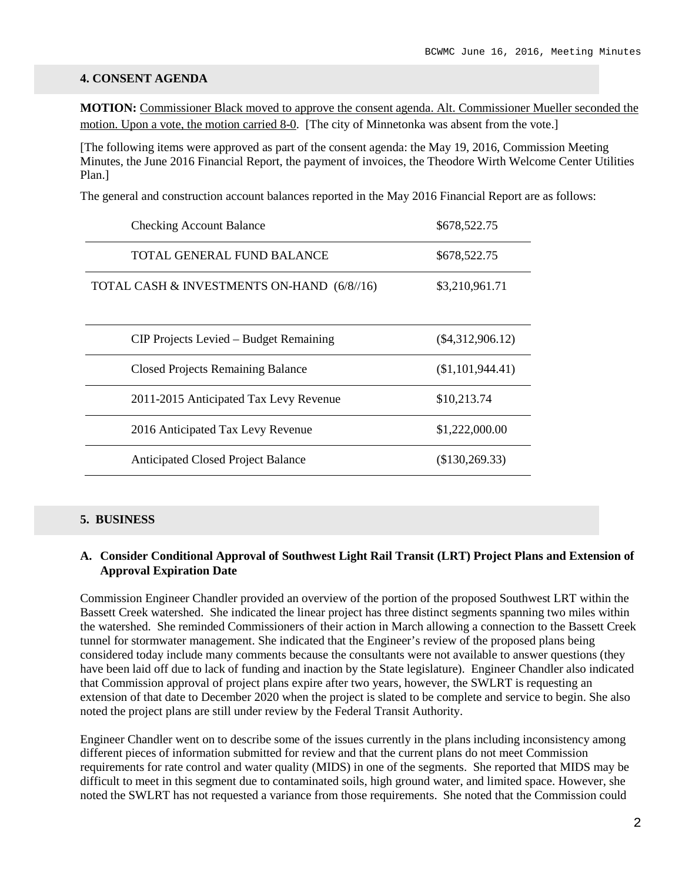#### **4. CONSENT AGENDA**

**MOTION:** Commissioner Black moved to approve the consent agenda. Alt. Commissioner Mueller seconded the motion. Upon a vote, the motion carried 8-0. [The city of Minnetonka was absent from the vote.]

[The following items were approved as part of the consent agenda: the May 19, 2016, Commission Meeting Minutes, the June 2016 Financial Report, the payment of invoices, the Theodore Wirth Welcome Center Utilities Plan.]

The general and construction account balances reported in the May 2016 Financial Report are as follows:

| <b>Checking Account Balance</b>            | \$678,522.75       |
|--------------------------------------------|--------------------|
| TOTAL GENERAL FUND BALANCE                 | \$678,522.75       |
| TOTAL CASH & INVESTMENTS ON-HAND (6/8//16) | \$3,210,961.71     |
| CIP Projects Levied – Budget Remaining     | $(\$4,312,906.12)$ |
| <b>Closed Projects Remaining Balance</b>   | (\$1,101,944.41)   |
| 2011-2015 Anticipated Tax Levy Revenue     | \$10,213.74        |
| 2016 Anticipated Tax Levy Revenue          | \$1,222,000.00     |
| <b>Anticipated Closed Project Balance</b>  | (\$130,269.33)     |

#### **5. BUSINESS**

#### **A. Consider Conditional Approval of Southwest Light Rail Transit (LRT) Project Plans and Extension of Approval Expiration Date**

Commission Engineer Chandler provided an overview of the portion of the proposed Southwest LRT within the Bassett Creek watershed. She indicated the linear project has three distinct segments spanning two miles within the watershed. She reminded Commissioners of their action in March allowing a connection to the Bassett Creek tunnel for stormwater management. She indicated that the Engineer's review of the proposed plans being considered today include many comments because the consultants were not available to answer questions (they have been laid off due to lack of funding and inaction by the State legislature). Engineer Chandler also indicated that Commission approval of project plans expire after two years, however, the SWLRT is requesting an extension of that date to December 2020 when the project is slated to be complete and service to begin. She also noted the project plans are still under review by the Federal Transit Authority.

Engineer Chandler went on to describe some of the issues currently in the plans including inconsistency among different pieces of information submitted for review and that the current plans do not meet Commission requirements for rate control and water quality (MIDS) in one of the segments. She reported that MIDS may be difficult to meet in this segment due to contaminated soils, high ground water, and limited space. However, she noted the SWLRT has not requested a variance from those requirements. She noted that the Commission could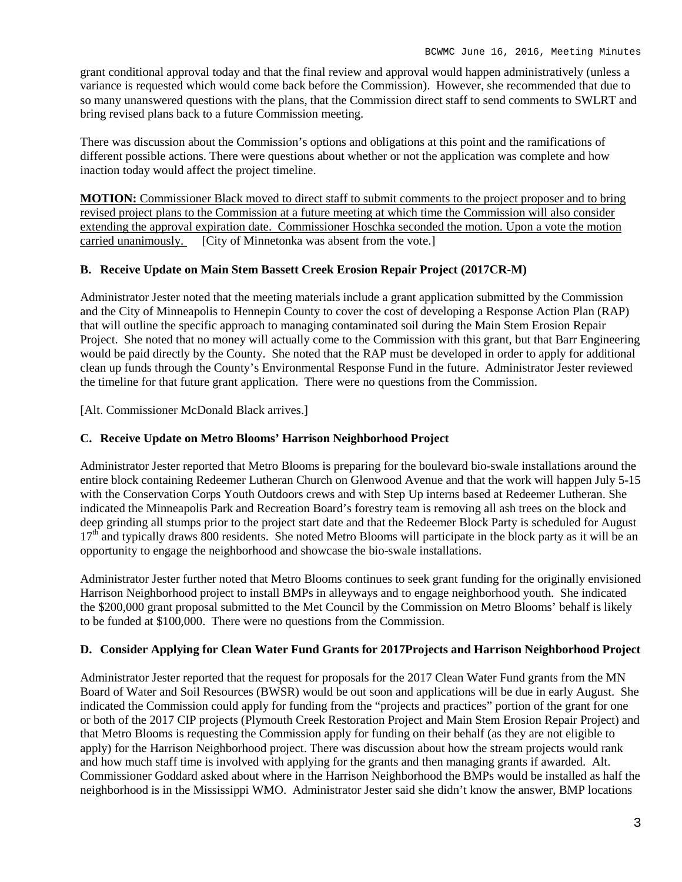grant conditional approval today and that the final review and approval would happen administratively (unless a variance is requested which would come back before the Commission). However, she recommended that due to so many unanswered questions with the plans, that the Commission direct staff to send comments to SWLRT and bring revised plans back to a future Commission meeting.

There was discussion about the Commission's options and obligations at this point and the ramifications of different possible actions. There were questions about whether or not the application was complete and how inaction today would affect the project timeline.

**MOTION:** Commissioner Black moved to direct staff to submit comments to the project proposer and to bring revised project plans to the Commission at a future meeting at which time the Commission will also consider extending the approval expiration date. Commissioner Hoschka seconded the motion. Upon a vote the motion carried unanimously. [City of Minnetonka was absent from the vote.]

## **B. Receive Update on Main Stem Bassett Creek Erosion Repair Project (2017CR-M)**

Administrator Jester noted that the meeting materials include a grant application submitted by the Commission and the City of Minneapolis to Hennepin County to cover the cost of developing a Response Action Plan (RAP) that will outline the specific approach to managing contaminated soil during the Main Stem Erosion Repair Project. She noted that no money will actually come to the Commission with this grant, but that Barr Engineering would be paid directly by the County. She noted that the RAP must be developed in order to apply for additional clean up funds through the County's Environmental Response Fund in the future. Administrator Jester reviewed the timeline for that future grant application. There were no questions from the Commission.

[Alt. Commissioner McDonald Black arrives.]

## **C. Receive Update on Metro Blooms' Harrison Neighborhood Project**

Administrator Jester reported that Metro Blooms is preparing for the boulevard bio-swale installations around the entire block containing Redeemer Lutheran Church on Glenwood Avenue and that the work will happen July 5-15 with the Conservation Corps Youth Outdoors crews and with Step Up interns based at Redeemer Lutheran. She indicated the Minneapolis Park and Recreation Board's forestry team is removing all ash trees on the block and deep grinding all stumps prior to the project start date and that the Redeemer Block Party is scheduled for August  $17<sup>th</sup>$  and typically draws 800 residents. She noted Metro Blooms will participate in the block party as it will be an opportunity to engage the neighborhood and showcase the bio-swale installations.

Administrator Jester further noted that Metro Blooms continues to seek grant funding for the originally envisioned Harrison Neighborhood project to install BMPs in alleyways and to engage neighborhood youth. She indicated the \$200,000 grant proposal submitted to the Met Council by the Commission on Metro Blooms' behalf is likely to be funded at \$100,000. There were no questions from the Commission.

#### **D. Consider Applying for Clean Water Fund Grants for 2017Projects and Harrison Neighborhood Project**

Administrator Jester reported that the request for proposals for the 2017 Clean Water Fund grants from the MN Board of Water and Soil Resources (BWSR) would be out soon and applications will be due in early August. She indicated the Commission could apply for funding from the "projects and practices" portion of the grant for one or both of the 2017 CIP projects (Plymouth Creek Restoration Project and Main Stem Erosion Repair Project) and that Metro Blooms is requesting the Commission apply for funding on their behalf (as they are not eligible to apply) for the Harrison Neighborhood project. There was discussion about how the stream projects would rank and how much staff time is involved with applying for the grants and then managing grants if awarded. Alt. Commissioner Goddard asked about where in the Harrison Neighborhood the BMPs would be installed as half the neighborhood is in the Mississippi WMO. Administrator Jester said she didn't know the answer, BMP locations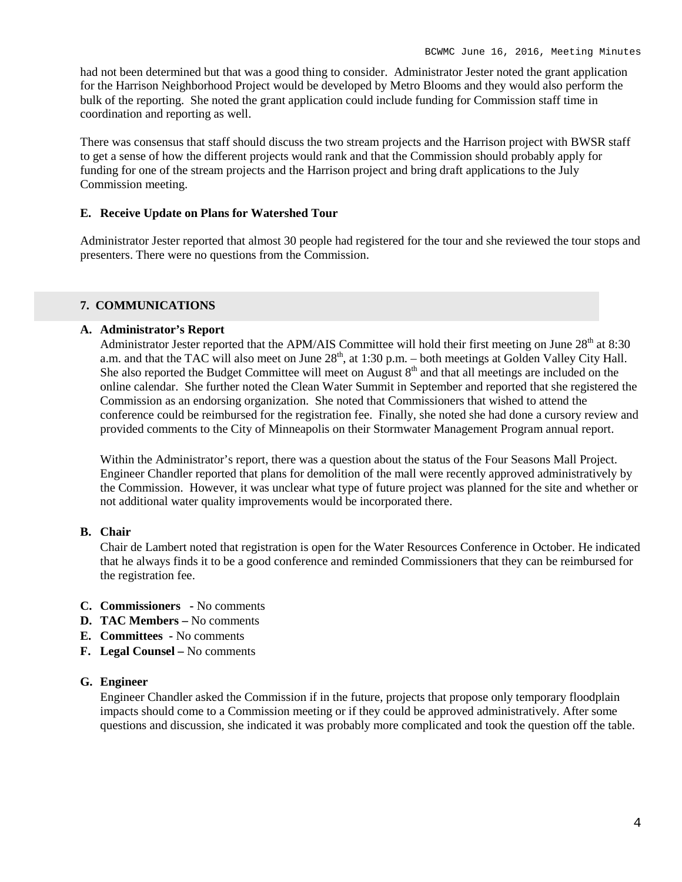had not been determined but that was a good thing to consider. Administrator Jester noted the grant application for the Harrison Neighborhood Project would be developed by Metro Blooms and they would also perform the bulk of the reporting. She noted the grant application could include funding for Commission staff time in coordination and reporting as well.

There was consensus that staff should discuss the two stream projects and the Harrison project with BWSR staff to get a sense of how the different projects would rank and that the Commission should probably apply for funding for one of the stream projects and the Harrison project and bring draft applications to the July Commission meeting.

#### **E. Receive Update on Plans for Watershed Tour**

Administrator Jester reported that almost 30 people had registered for the tour and she reviewed the tour stops and presenters. There were no questions from the Commission.

#### **7. COMMUNICATIONS**

#### **A. Administrator's Report**

Administrator Jester reported that the APM/AIS Committee will hold their first meeting on June 28<sup>th</sup> at 8:30 a.m. and that the TAC will also meet on June 28<sup>th</sup>, at 1:30 p.m. – both meetings at Golden Valley City Hall. She also reported the Budget Committee will meet on August  $8<sup>th</sup>$  and that all meetings are included on the online calendar. She further noted the Clean Water Summit in September and reported that she registered the Commission as an endorsing organization. She noted that Commissioners that wished to attend the conference could be reimbursed for the registration fee. Finally, she noted she had done a cursory review and provided comments to the City of Minneapolis on their Stormwater Management Program annual report.

Within the Administrator's report, there was a question about the status of the Four Seasons Mall Project. Engineer Chandler reported that plans for demolition of the mall were recently approved administratively by the Commission. However, it was unclear what type of future project was planned for the site and whether or not additional water quality improvements would be incorporated there.

#### **B. Chair**

Chair de Lambert noted that registration is open for the Water Resources Conference in October. He indicated that he always finds it to be a good conference and reminded Commissioners that they can be reimbursed for the registration fee.

- **C. Commissioners -** No comments
- **D. TAC Members –** No comments
- **E. Committees -** No comments
- **F. Legal Counsel –** No comments

#### **G. Engineer**

Engineer Chandler asked the Commission if in the future, projects that propose only temporary floodplain impacts should come to a Commission meeting or if they could be approved administratively. After some questions and discussion, she indicated it was probably more complicated and took the question off the table.